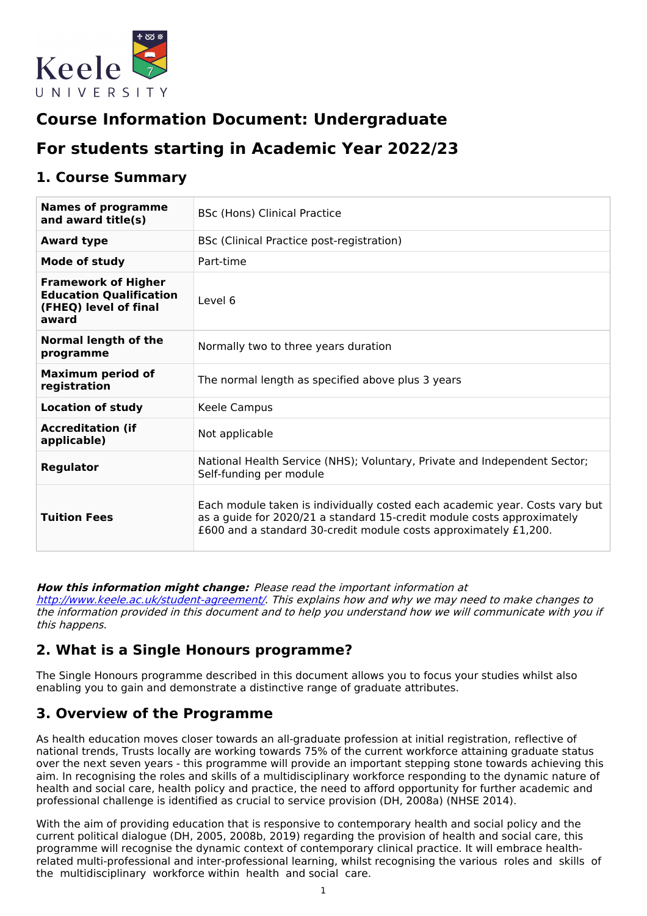

# **Course Information Document: Undergraduate**

# **For students starting in Academic Year 2022/23**

### **1. Course Summary**

| <b>Names of programme</b><br>and award title(s)                                                | BSc (Hons) Clinical Practice                                                                                                                                                                                              |  |  |
|------------------------------------------------------------------------------------------------|---------------------------------------------------------------------------------------------------------------------------------------------------------------------------------------------------------------------------|--|--|
| <b>Award type</b>                                                                              | BSc (Clinical Practice post-registration)                                                                                                                                                                                 |  |  |
| Mode of study                                                                                  | Part-time                                                                                                                                                                                                                 |  |  |
| <b>Framework of Higher</b><br><b>Education Qualification</b><br>(FHEQ) level of final<br>award | Level 6                                                                                                                                                                                                                   |  |  |
| <b>Normal length of the</b><br>programme                                                       | Normally two to three years duration                                                                                                                                                                                      |  |  |
| <b>Maximum period of</b><br>registration                                                       | The normal length as specified above plus 3 years                                                                                                                                                                         |  |  |
| <b>Location of study</b>                                                                       | Keele Campus                                                                                                                                                                                                              |  |  |
| <b>Accreditation (if</b><br>applicable)                                                        | Not applicable                                                                                                                                                                                                            |  |  |
| <b>Regulator</b>                                                                               | National Health Service (NHS); Voluntary, Private and Independent Sector;<br>Self-funding per module                                                                                                                      |  |  |
| <b>Tuition Fees</b>                                                                            | Each module taken is individually costed each academic year. Costs vary but<br>as a guide for 2020/21 a standard 15-credit module costs approximately<br>£600 and a standard 30-credit module costs approximately £1,200. |  |  |

#### **How this information might change:** Please read the important information at

<http://www.keele.ac.uk/student-agreement/>. This explains how and why we may need to make changes to the information provided in this document and to help you understand how we will communicate with you if this happens.

### **2. What is a Single Honours programme?**

The Single Honours programme described in this document allows you to focus your studies whilst also enabling you to gain and demonstrate a distinctive range of graduate attributes.

## **3. Overview of the Programme**

As health education moves closer towards an all-graduate profession at initial registration, reflective of national trends, Trusts locally are working towards 75% of the current workforce attaining graduate status over the next seven years - this programme will provide an important stepping stone towards achieving this aim. In recognising the roles and skills of a multidisciplinary workforce responding to the dynamic nature of health and social care, health policy and practice, the need to afford opportunity for further academic and professional challenge is identified as crucial to service provision (DH, 2008a) (NHSE 2014).

With the aim of providing education that is responsive to contemporary health and social policy and the current political dialogue (DH, 2005, 2008b, 2019) regarding the provision of health and social care, this programme will recognise the dynamic context of contemporary clinical practice. It will embrace healthrelated multi-professional and inter-professional learning, whilst recognising the various roles and skills of the multidisciplinary workforce within health and social care.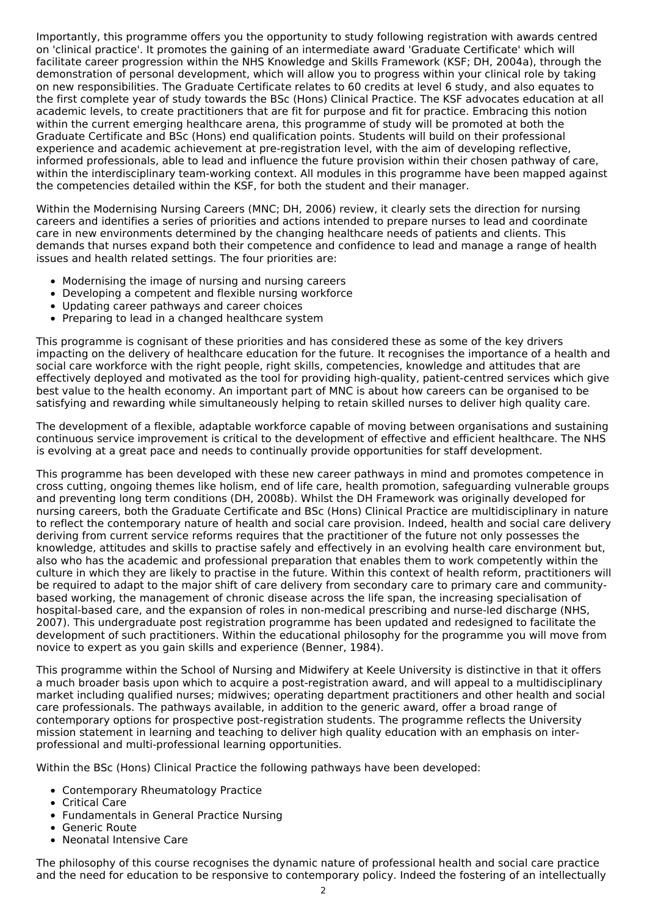Importantly, this programme offers you the opportunity to study following registration with awards centred on 'clinical practice'. It promotes the gaining of an intermediate award 'Graduate Certificate' which will facilitate career progression within the NHS Knowledge and Skills Framework (KSF; DH, 2004a), through the demonstration of personal development, which will allow you to progress within your clinical role by taking on new responsibilities. The Graduate Certificate relates to 60 credits at level 6 study, and also equates to the first complete year of study towards the BSc (Hons) Clinical Practice. The KSF advocates education at all academic levels, to create practitioners that are fit for purpose and fit for practice. Embracing this notion within the current emerging healthcare arena, this programme of study will be promoted at both the Graduate Certificate and BSc (Hons) end qualification points. Students will build on their professional experience and academic achievement at pre-registration level, with the aim of developing reflective, informed professionals, able to lead and influence the future provision within their chosen pathway of care, within the interdisciplinary team-working context. All modules in this programme have been mapped against the competencies detailed within the KSF, for both the student and their manager.

Within the Modernising Nursing Careers (MNC; DH, 2006) review, it clearly sets the direction for nursing careers and identifies a series of priorities and actions intended to prepare nurses to lead and coordinate care in new environments determined by the changing healthcare needs of patients and clients. This demands that nurses expand both their competence and confidence to lead and manage a range of health issues and health related settings. The four priorities are:

- Modernising the image of nursing and nursing careers
- Developing a competent and flexible nursing workforce
- Updating career pathways and career choices
- Preparing to lead in a changed healthcare system

This programme is cognisant of these priorities and has considered these as some of the key drivers impacting on the delivery of healthcare education for the future. It recognises the importance of a health and social care workforce with the right people, right skills, competencies, knowledge and attitudes that are effectively deployed and motivated as the tool for providing high-quality, patient-centred services which give best value to the health economy. An important part of MNC is about how careers can be organised to be satisfying and rewarding while simultaneously helping to retain skilled nurses to deliver high quality care.

The development of a flexible, adaptable workforce capable of moving between organisations and sustaining continuous service improvement is critical to the development of effective and efficient healthcare. The NHS is evolving at a great pace and needs to continually provide opportunities for staff development.

This programme has been developed with these new career pathways in mind and promotes competence in cross cutting, ongoing themes like holism, end of life care, health promotion, safeguarding vulnerable groups and preventing long term conditions (DH, 2008b). Whilst the DH Framework was originally developed for nursing careers, both the Graduate Certificate and BSc (Hons) Clinical Practice are multidisciplinary in nature to reflect the contemporary nature of health and social care provision. Indeed, health and social care delivery deriving from current service reforms requires that the practitioner of the future not only possesses the knowledge, attitudes and skills to practise safely and effectively in an evolving health care environment but, also who has the academic and professional preparation that enables them to work competently within the culture in which they are likely to practise in the future. Within this context of health reform, practitioners will be required to adapt to the major shift of care delivery from secondary care to primary care and communitybased working, the management of chronic disease across the life span, the increasing specialisation of hospital-based care, and the expansion of roles in non-medical prescribing and nurse-led discharge (NHS, 2007). This undergraduate post registration programme has been updated and redesigned to facilitate the development of such practitioners. Within the educational philosophy for the programme you will move from novice to expert as you gain skills and experience (Benner, 1984).

This programme within the School of Nursing and Midwifery at Keele University is distinctive in that it offers a much broader basis upon which to acquire a post-registration award, and will appeal to a multidisciplinary market including qualified nurses; midwives; operating department practitioners and other health and social care professionals. The pathways available, in addition to the generic award, offer a broad range of contemporary options for prospective post-registration students. The programme reflects the University mission statement in learning and teaching to deliver high quality education with an emphasis on interprofessional and multi-professional learning opportunities.

Within the BSc (Hons) Clinical Practice the following pathways have been developed:

- Contemporary Rheumatology Practice
- Critical Care
- Fundamentals in General Practice Nursing
- Generic Route
- Neonatal Intensive Care

The philosophy of this course recognises the dynamic nature of professional health and social care practice and the need for education to be responsive to contemporary policy. Indeed the fostering of an intellectually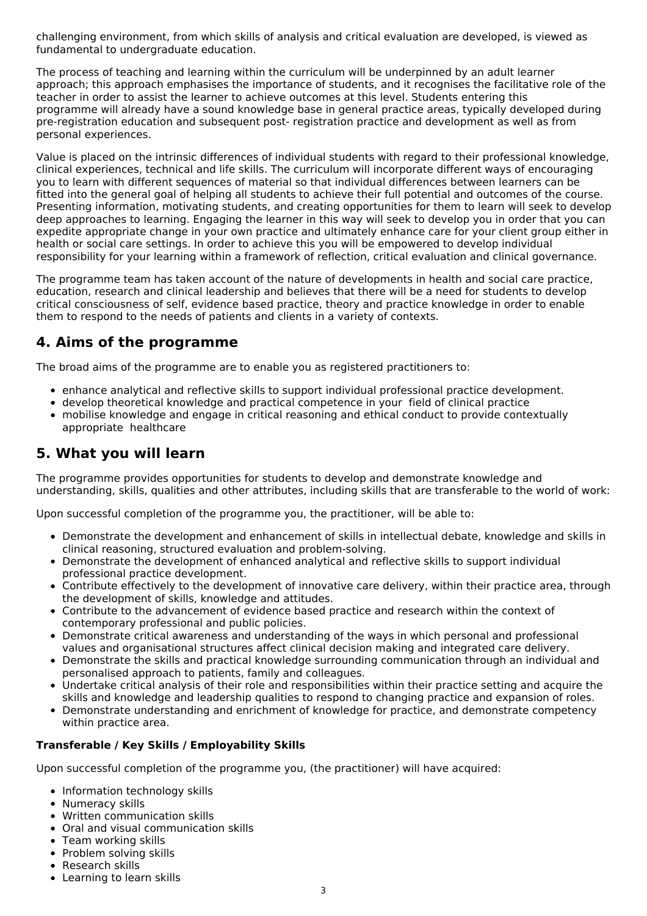challenging environment, from which skills of analysis and critical evaluation are developed, is viewed as fundamental to undergraduate education.

The process of teaching and learning within the curriculum will be underpinned by an adult learner approach; this approach emphasises the importance of students, and it recognises the facilitative role of the teacher in order to assist the learner to achieve outcomes at this level. Students entering this programme will already have a sound knowledge base in general practice areas, typically developed during pre-registration education and subsequent post- registration practice and development as well as from personal experiences.

Value is placed on the intrinsic differences of individual students with regard to their professional knowledge, clinical experiences, technical and life skills. The curriculum will incorporate different ways of encouraging you to learn with different sequences of material so that individual differences between learners can be fitted into the general goal of helping all students to achieve their full potential and outcomes of the course. Presenting information, motivating students, and creating opportunities for them to learn will seek to develop deep approaches to learning. Engaging the learner in this way will seek to develop you in order that you can expedite appropriate change in your own practice and ultimately enhance care for your client group either in health or social care settings. In order to achieve this you will be empowered to develop individual responsibility for your learning within a framework of reflection, critical evaluation and clinical governance.

The programme team has taken account of the nature of developments in health and social care practice, education, research and clinical leadership and believes that there will be a need for students to develop critical consciousness of self, evidence based practice, theory and practice knowledge in order to enable them to respond to the needs of patients and clients in a variety of contexts.

### **4. Aims of the programme**

The broad aims of the programme are to enable you as registered practitioners to:

- enhance analytical and reflective skills to support individual professional practice development.
- develop theoretical knowledge and practical competence in your field of clinical practice
- mobilise knowledge and engage in critical reasoning and ethical conduct to provide contextually appropriate healthcare

### **5. What you will learn**

The programme provides opportunities for students to develop and demonstrate knowledge and understanding, skills, qualities and other attributes, including skills that are transferable to the world of work:

Upon successful completion of the programme you, the practitioner, will be able to:

- Demonstrate the development and enhancement of skills in intellectual debate, knowledge and skills in clinical reasoning, structured evaluation and problem-solving.
- Demonstrate the development of enhanced analytical and reflective skills to support individual professional practice development.
- Contribute effectively to the development of innovative care delivery, within their practice area, through the development of skills, knowledge and attitudes.
- Contribute to the advancement of evidence based practice and research within the context of contemporary professional and public policies.
- Demonstrate critical awareness and understanding of the ways in which personal and professional values and organisational structures affect clinical decision making and integrated care delivery.
- Demonstrate the skills and practical knowledge surrounding communication through an individual and personalised approach to patients, family and colleagues.
- Undertake critical analysis of their role and responsibilities within their practice setting and acquire the skills and knowledge and leadership qualities to respond to changing practice and expansion of roles.
- Demonstrate understanding and enrichment of knowledge for practice, and demonstrate competency within practice area.

#### **Transferable / Key Skills / Employability Skills**

Upon successful completion of the programme you, (the practitioner) will have acquired:

- Information technology skills
- Numeracy skills
- Written communication skills
- Oral and visual communication skills
- Team working skills
- Problem solving skills
- Research skills
- Learning to learn skills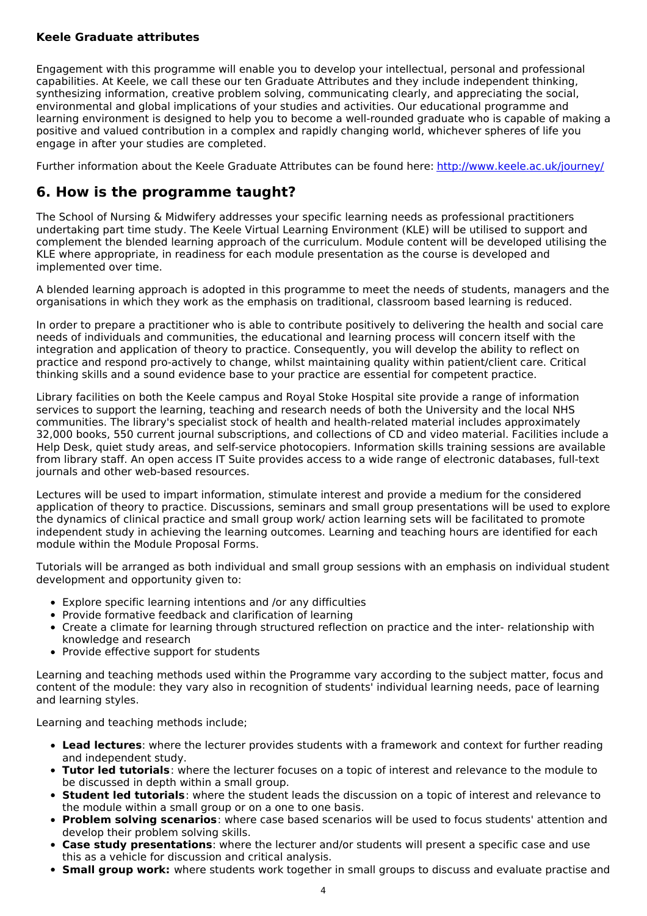#### **Keele Graduate attributes**

Engagement with this programme will enable you to develop your intellectual, personal and professional capabilities. At Keele, we call these our ten Graduate Attributes and they include independent thinking, synthesizing information, creative problem solving, communicating clearly, and appreciating the social, environmental and global implications of your studies and activities. Our educational programme and learning environment is designed to help you to become a well-rounded graduate who is capable of making a positive and valued contribution in a complex and rapidly changing world, whichever spheres of life you engage in after your studies are completed.

Further information about the Keele Graduate Attributes can be found here: <http://www.keele.ac.uk/journey/>

### **6. How is the programme taught?**

The School of Nursing & Midwifery addresses your specific learning needs as professional practitioners undertaking part time study. The Keele Virtual Learning Environment (KLE) will be utilised to support and complement the blended learning approach of the curriculum. Module content will be developed utilising the KLE where appropriate, in readiness for each module presentation as the course is developed and implemented over time.

A blended learning approach is adopted in this programme to meet the needs of students, managers and the organisations in which they work as the emphasis on traditional, classroom based learning is reduced.

In order to prepare a practitioner who is able to contribute positively to delivering the health and social care needs of individuals and communities, the educational and learning process will concern itself with the integration and application of theory to practice. Consequently, you will develop the ability to reflect on practice and respond pro-actively to change, whilst maintaining quality within patient/client care. Critical thinking skills and a sound evidence base to your practice are essential for competent practice.

Library facilities on both the Keele campus and Royal Stoke Hospital site provide a range of information services to support the learning, teaching and research needs of both the University and the local NHS communities. The library's specialist stock of health and health-related material includes approximately 32,000 books, 550 current journal subscriptions, and collections of CD and video material. Facilities include a Help Desk, quiet study areas, and self-service photocopiers. Information skills training sessions are available from library staff. An open access IT Suite provides access to a wide range of electronic databases, full-text journals and other web-based resources.

Lectures will be used to impart information, stimulate interest and provide a medium for the considered application of theory to practice. Discussions, seminars and small group presentations will be used to explore the dynamics of clinical practice and small group work/ action learning sets will be facilitated to promote independent study in achieving the learning outcomes. Learning and teaching hours are identified for each module within the Module Proposal Forms.

Tutorials will be arranged as both individual and small group sessions with an emphasis on individual student development and opportunity given to:

- Explore specific learning intentions and /or any difficulties
- Provide formative feedback and clarification of learning
- Create a climate for learning through structured reflection on practice and the inter- relationship with knowledge and research
- Provide effective support for students

Learning and teaching methods used within the Programme vary according to the subject matter, focus and content of the module: they vary also in recognition of students' individual learning needs, pace of learning and learning styles.

Learning and teaching methods include;

- **Lead lectures**: where the lecturer provides students with a framework and context for further reading and independent study.
- **Tutor led tutorials**: where the lecturer focuses on a topic of interest and relevance to the module to be discussed in depth within a small group.
- **Student led tutorials**: where the student leads the discussion on a topic of interest and relevance to the module within a small group or on a one to one basis.
- **Problem solving scenarios**: where case based scenarios will be used to focus students' attention and develop their problem solving skills.
- **Case study presentations**: where the lecturer and/or students will present a specific case and use this as a vehicle for discussion and critical analysis.
- **Small group work:** where students work together in small groups to discuss and evaluate practise and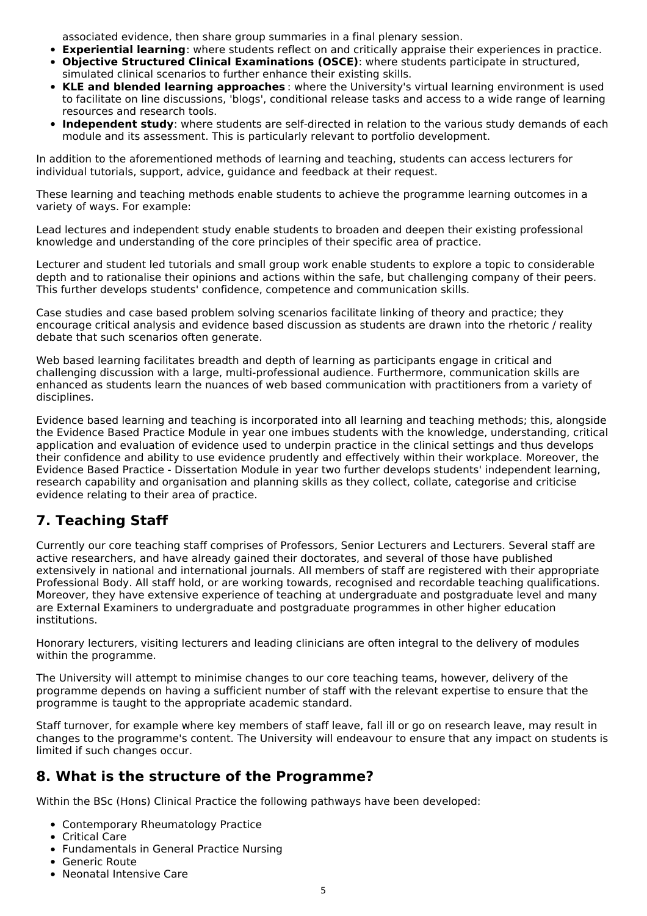associated evidence, then share group summaries in a final plenary session.

- **Experiential learning**: where students reflect on and critically appraise their experiences in practice.
- **Objective Structured Clinical Examinations (OSCE)**: where students participate in structured, simulated clinical scenarios to further enhance their existing skills.
- **KLE and blended learning approaches** : where the University's virtual learning environment is used to facilitate on line discussions, 'blogs', conditional release tasks and access to a wide range of learning resources and research tools.
- **Independent study**: where students are self-directed in relation to the various study demands of each module and its assessment. This is particularly relevant to portfolio development.

In addition to the aforementioned methods of learning and teaching, students can access lecturers for individual tutorials, support, advice, guidance and feedback at their request.

These learning and teaching methods enable students to achieve the programme learning outcomes in a variety of ways. For example:

Lead lectures and independent study enable students to broaden and deepen their existing professional knowledge and understanding of the core principles of their specific area of practice.

Lecturer and student led tutorials and small group work enable students to explore a topic to considerable depth and to rationalise their opinions and actions within the safe, but challenging company of their peers. This further develops students' confidence, competence and communication skills.

Case studies and case based problem solving scenarios facilitate linking of theory and practice; they encourage critical analysis and evidence based discussion as students are drawn into the rhetoric / reality debate that such scenarios often generate.

Web based learning facilitates breadth and depth of learning as participants engage in critical and challenging discussion with a large, multi-professional audience. Furthermore, communication skills are enhanced as students learn the nuances of web based communication with practitioners from a variety of disciplines.

Evidence based learning and teaching is incorporated into all learning and teaching methods; this, alongside the Evidence Based Practice Module in year one imbues students with the knowledge, understanding, critical application and evaluation of evidence used to underpin practice in the clinical settings and thus develops their confidence and ability to use evidence prudently and effectively within their workplace. Moreover, the Evidence Based Practice - Dissertation Module in year two further develops students' independent learning, research capability and organisation and planning skills as they collect, collate, categorise and criticise evidence relating to their area of practice.

## **7. Teaching Staff**

Currently our core teaching staff comprises of Professors, Senior Lecturers and Lecturers. Several staff are active researchers, and have already gained their doctorates, and several of those have published extensively in national and international journals. All members of staff are registered with their appropriate Professional Body. All staff hold, or are working towards, recognised and recordable teaching qualifications. Moreover, they have extensive experience of teaching at undergraduate and postgraduate level and many are External Examiners to undergraduate and postgraduate programmes in other higher education institutions.

Honorary lecturers, visiting lecturers and leading clinicians are often integral to the delivery of modules within the programme.

The University will attempt to minimise changes to our core teaching teams, however, delivery of the programme depends on having a sufficient number of staff with the relevant expertise to ensure that the programme is taught to the appropriate academic standard.

Staff turnover, for example where key members of staff leave, fall ill or go on research leave, may result in changes to the programme's content. The University will endeavour to ensure that any impact on students is limited if such changes occur.

### **8. What is the structure of the Programme?**

Within the BSc (Hons) Clinical Practice the following pathways have been developed:

- Contemporary Rheumatology Practice
- Critical Care
- Fundamentals in General Practice Nursing
- Generic Route
- Neonatal Intensive Care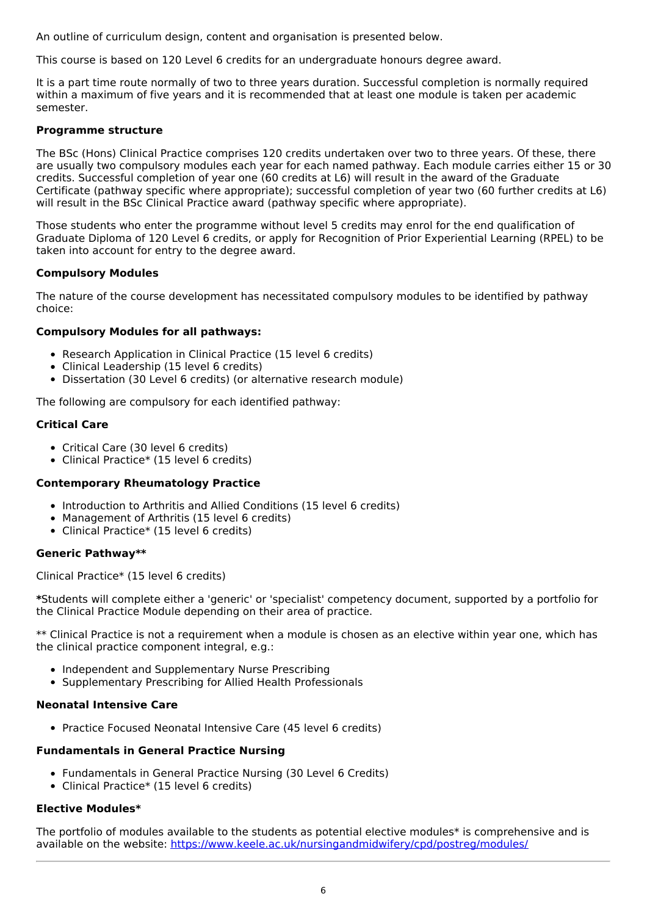An outline of curriculum design, content and organisation is presented below.

This course is based on 120 Level 6 credits for an undergraduate honours degree award.

It is a part time route normally of two to three years duration. Successful completion is normally required within a maximum of five years and it is recommended that at least one module is taken per academic semester.

#### **Programme structure**

The BSc (Hons) Clinical Practice comprises 120 credits undertaken over two to three years. Of these, there are usually two compulsory modules each year for each named pathway. Each module carries either 15 or 30 credits. Successful completion of year one (60 credits at L6) will result in the award of the Graduate Certificate (pathway specific where appropriate); successful completion of year two (60 further credits at L6) will result in the BSc Clinical Practice award (pathway specific where appropriate).

Those students who enter the programme without level 5 credits may enrol for the end qualification of Graduate Diploma of 120 Level 6 credits, or apply for Recognition of Prior Experiential Learning (RPEL) to be taken into account for entry to the degree award.

#### **Compulsory Modules**

The nature of the course development has necessitated compulsory modules to be identified by pathway choice:

#### **Compulsory Modules for all pathways:**

- Research Application in Clinical Practice (15 level 6 credits)
- Clinical Leadership (15 level 6 credits)
- Dissertation (30 Level 6 credits) (or alternative research module)

The following are compulsory for each identified pathway:

#### **Critical Care**

- Critical Care (30 level 6 credits)
- Clinical Practice\* (15 level 6 credits)

#### **Contemporary Rheumatology Practice**

- Introduction to Arthritis and Allied Conditions (15 level 6 credits)
- Management of Arthritis (15 level 6 credits)
- Clinical Practice\* (15 level 6 credits)

#### **Generic Pathway\*\***

Clinical Practice\* (15 level 6 credits)

**\***Students will complete either a 'generic' or 'specialist' competency document, supported by a portfolio for the Clinical Practice Module depending on their area of practice.

\*\* Clinical Practice is not a requirement when a module is chosen as an elective within year one, which has the clinical practice component integral, e.g.:

- Independent and Supplementary Nurse Prescribing
- Supplementary Prescribing for Allied Health Professionals

#### **Neonatal Intensive Care**

• Practice Focused Neonatal Intensive Care (45 level 6 credits)

#### **Fundamentals in General Practice Nursing**

- Fundamentals in General Practice Nursing (30 Level 6 Credits)
- Clinical Practice\* (15 level 6 credits)

#### **Elective Modules\***

The portfolio of modules available to the students as potential elective modules\* is comprehensive and is available on the website: <https://www.keele.ac.uk/nursingandmidwifery/cpd/postreg/modules/>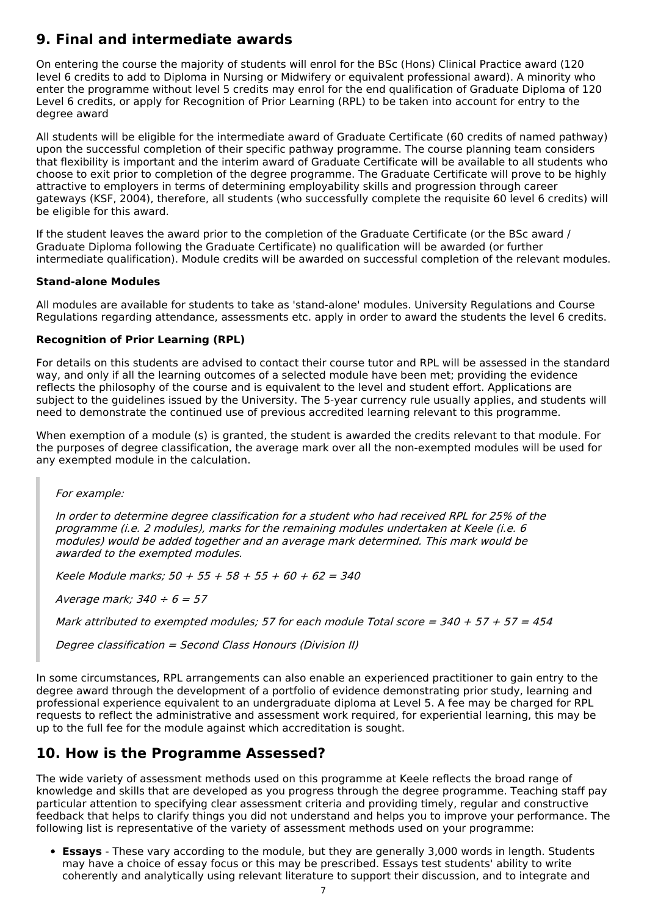## **9. Final and intermediate awards**

On entering the course the majority of students will enrol for the BSc (Hons) Clinical Practice award (120 level 6 credits to add to Diploma in Nursing or Midwifery or equivalent professional award). A minority who enter the programme without level 5 credits may enrol for the end qualification of Graduate Diploma of 120 Level 6 credits, or apply for Recognition of Prior Learning (RPL) to be taken into account for entry to the degree award

All students will be eligible for the intermediate award of Graduate Certificate (60 credits of named pathway) upon the successful completion of their specific pathway programme. The course planning team considers that flexibility is important and the interim award of Graduate Certificate will be available to all students who choose to exit prior to completion of the degree programme. The Graduate Certificate will prove to be highly attractive to employers in terms of determining employability skills and progression through career gateways (KSF, 2004), therefore, all students (who successfully complete the requisite 60 level 6 credits) will be eligible for this award.

If the student leaves the award prior to the completion of the Graduate Certificate (or the BSc award / Graduate Diploma following the Graduate Certificate) no qualification will be awarded (or further intermediate qualification). Module credits will be awarded on successful completion of the relevant modules.

#### **Stand-alone Modules**

All modules are available for students to take as 'stand-alone' modules. University Regulations and Course Regulations regarding attendance, assessments etc. apply in order to award the students the level 6 credits.

#### **Recognition of Prior Learning (RPL)**

For details on this students are advised to contact their course tutor and RPL will be assessed in the standard way, and only if all the learning outcomes of a selected module have been met; providing the evidence reflects the philosophy of the course and is equivalent to the level and student effort. Applications are subject to the guidelines issued by the University. The 5-year currency rule usually applies, and students will need to demonstrate the continued use of previous accredited learning relevant to this programme.

When exemption of a module (s) is granted, the student is awarded the credits relevant to that module. For the purposes of degree classification, the average mark over all the non-exempted modules will be used for any exempted module in the calculation.

For example:

In order to determine degree classification for <sup>a</sup> student who had received RPL for 25% of the programme (i.e. 2 modules), marks for the remaining modules undertaken at Keele (i.e. 6 modules) would be added together and an average mark determined. This mark would be awarded to the exempted modules.

Keele Module marks;  $50 + 55 + 58 + 55 + 60 + 62 = 340$ 

Average mark;  $340 \div 6 = 57$ 

Mark attributed to exempted modules; 57 for each module Total score =  $340 + 57 + 57 = 454$ 

Degree classification <sup>=</sup> Second Class Honours (Division II)

In some circumstances, RPL arrangements can also enable an experienced practitioner to gain entry to the degree award through the development of a portfolio of evidence demonstrating prior study, learning and professional experience equivalent to an undergraduate diploma at Level 5. A fee may be charged for RPL requests to reflect the administrative and assessment work required, for experiential learning, this may be up to the full fee for the module against which accreditation is sought.

### **10. How is the Programme Assessed?**

The wide variety of assessment methods used on this programme at Keele reflects the broad range of knowledge and skills that are developed as you progress through the degree programme. Teaching staff pay particular attention to specifying clear assessment criteria and providing timely, regular and constructive feedback that helps to clarify things you did not understand and helps you to improve your performance. The following list is representative of the variety of assessment methods used on your programme:

**Essays** - These vary according to the module, but they are generally 3,000 words in length. Students may have a choice of essay focus or this may be prescribed. Essays test students' ability to write coherently and analytically using relevant literature to support their discussion, and to integrate and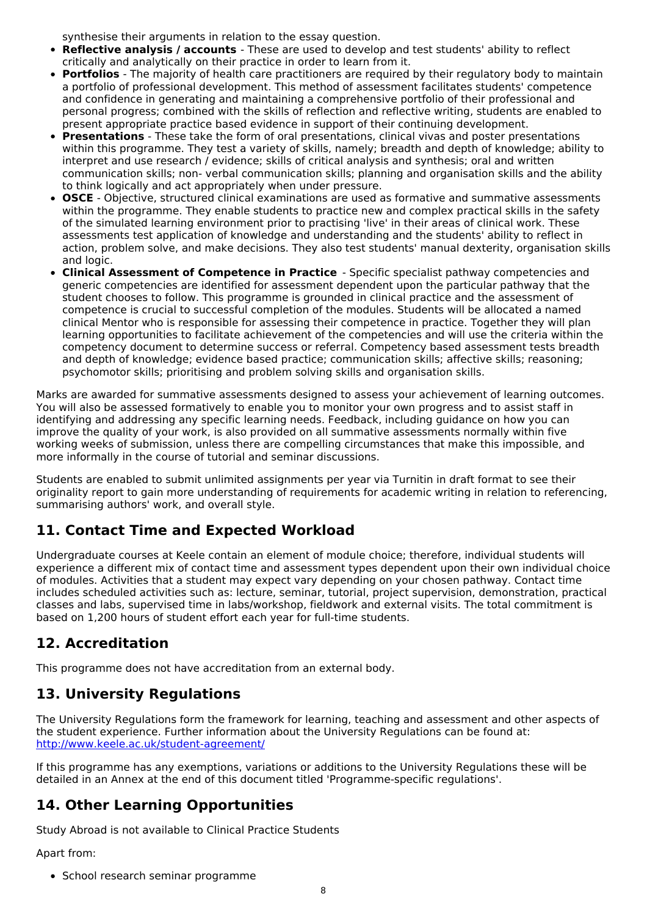synthesise their arguments in relation to the essay question.

- **Reflective analysis / accounts** These are used to develop and test students' ability to reflect critically and analytically on their practice in order to learn from it.
- **Portfolios** The majority of health care practitioners are required by their regulatory body to maintain a portfolio of professional development. This method of assessment facilitates students' competence and confidence in generating and maintaining a comprehensive portfolio of their professional and personal progress; combined with the skills of reflection and reflective writing, students are enabled to present appropriate practice based evidence in support of their continuing development.
- **Presentations** These take the form of oral presentations, clinical vivas and poster presentations within this programme. They test a variety of skills, namely; breadth and depth of knowledge; ability to interpret and use research / evidence; skills of critical analysis and synthesis; oral and written communication skills; non- verbal communication skills; planning and organisation skills and the ability to think logically and act appropriately when under pressure.
- **OSCE** Objective, structured clinical examinations are used as formative and summative assessments within the programme. They enable students to practice new and complex practical skills in the safety of the simulated learning environment prior to practising 'live' in their areas of clinical work. These assessments test application of knowledge and understanding and the students' ability to reflect in action, problem solve, and make decisions. They also test students' manual dexterity, organisation skills and logic.
- **Clinical Assessment of Competence in Practice** Specific specialist pathway competencies and generic competencies are identified for assessment dependent upon the particular pathway that the student chooses to follow. This programme is grounded in clinical practice and the assessment of competence is crucial to successful completion of the modules. Students will be allocated a named clinical Mentor who is responsible for assessing their competence in practice. Together they will plan learning opportunities to facilitate achievement of the competencies and will use the criteria within the competency document to determine success or referral. Competency based assessment tests breadth and depth of knowledge; evidence based practice; communication skills; affective skills; reasoning; psychomotor skills; prioritising and problem solving skills and organisation skills.

Marks are awarded for summative assessments designed to assess your achievement of learning outcomes. You will also be assessed formatively to enable you to monitor your own progress and to assist staff in identifying and addressing any specific learning needs. Feedback, including guidance on how you can improve the quality of your work, is also provided on all summative assessments normally within five working weeks of submission, unless there are compelling circumstances that make this impossible, and more informally in the course of tutorial and seminar discussions.

Students are enabled to submit unlimited assignments per year via Turnitin in draft format to see their originality report to gain more understanding of requirements for academic writing in relation to referencing, summarising authors' work, and overall style.

## **11. Contact Time and Expected Workload**

Undergraduate courses at Keele contain an element of module choice; therefore, individual students will experience a different mix of contact time and assessment types dependent upon their own individual choice of modules. Activities that a student may expect vary depending on your chosen pathway. Contact time includes scheduled activities such as: lecture, seminar, tutorial, project supervision, demonstration, practical classes and labs, supervised time in labs/workshop, fieldwork and external visits. The total commitment is based on 1,200 hours of student effort each year for full-time students.

## **12. Accreditation**

This programme does not have accreditation from an external body.

## **13. University Regulations**

The University Regulations form the framework for learning, teaching and assessment and other aspects of the student experience. Further information about the University Regulations can be found at: <http://www.keele.ac.uk/student-agreement/>

If this programme has any exemptions, variations or additions to the University Regulations these will be detailed in an Annex at the end of this document titled 'Programme-specific regulations'.

## **14. Other Learning Opportunities**

Study Abroad is not available to Clinical Practice Students

Apart from:

• School research seminar programme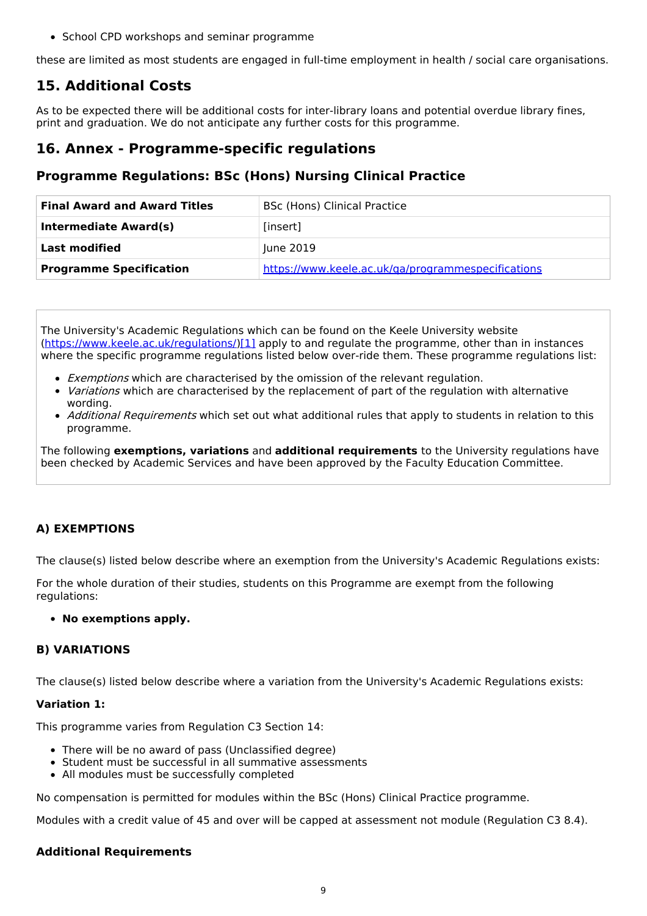• School CPD workshops and seminar programme

these are limited as most students are engaged in full-time employment in health / social care organisations.

## **15. Additional Costs**

As to be expected there will be additional costs for inter-library loans and potential overdue library fines, print and graduation. We do not anticipate any further costs for this programme.

### **16. Annex - Programme-specific regulations**

### **Programme Regulations: BSc (Hons) Nursing Clinical Practice**

| <b>Final Award and Award Titles</b> | <b>BSc (Hons) Clinical Practice</b>                |  |  |
|-------------------------------------|----------------------------------------------------|--|--|
| Intermediate Award(s)               | [insert]                                           |  |  |
| <b>Last modified</b>                | June 2019                                          |  |  |
| <b>Programme Specification</b>      | https://www.keele.ac.uk/ga/programmespecifications |  |  |

The University's Academic Regulations which can be found on the Keele University website [\(https://www.keele.ac.uk/regulations/](https://www.keele.ac.uk/regulations/)[\)\[1\]](https://scims-api.keele.ac.uk/#_ftn1) apply to and regulate the programme, other than in instances where the specific programme regulations listed below over-ride them. These programme regulations list:

- Exemptions which are characterised by the omission of the relevant regulation.
- Variations which are characterised by the replacement of part of the regulation with alternative wording.
- *Additional Requirements* which set out what additional rules that apply to students in relation to this programme.

The following **exemptions, variations** and **additional requirements** to the University regulations have been checked by Academic Services and have been approved by the Faculty Education Committee.

### **A) EXEMPTIONS**

The clause(s) listed below describe where an exemption from the University's Academic Regulations exists:

For the whole duration of their studies, students on this Programme are exempt from the following regulations:

#### **No exemptions apply.**

### **B) VARIATIONS**

The clause(s) listed below describe where a variation from the University's Academic Regulations exists:

#### **Variation 1:**

This programme varies from Regulation C3 Section 14:

- There will be no award of pass (Unclassified degree)
- Student must be successful in all summative assessments
- All modules must be successfully completed

No compensation is permitted for modules within the BSc (Hons) Clinical Practice programme.

Modules with a credit value of 45 and over will be capped at assessment not module (Regulation C3 8.4).

### **Additional Requirements**